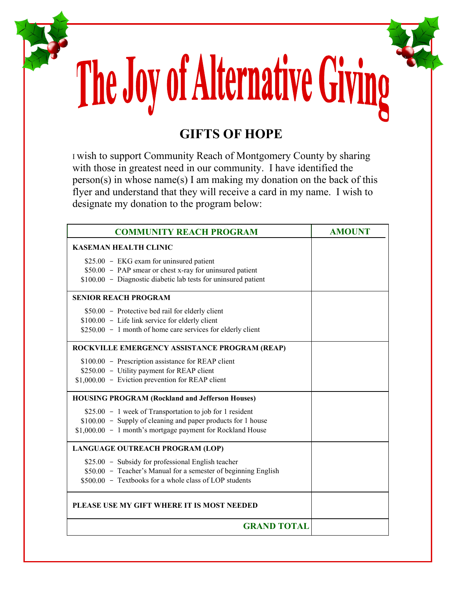## The Joy of Alternative Giving

## **GIFTS OF HOPE**

<sup>I</sup>wish to support Community Reach of Montgomery County by sharing with those in greatest need in our community. I have identified the person(s) in whose name(s) I am making my donation on the back of this flyer and understand that they will receive a card in my name. I wish to designate my donation to the program below:

| <b>COMMUNITY REACH PROGRAM</b>                                 | <b>AMOUNT</b> |  |  |  |  |
|----------------------------------------------------------------|---------------|--|--|--|--|
| <b>KASEMAN HEALTH CLINIC</b>                                   |               |  |  |  |  |
| \$25.00 - EKG exam for uninsured patient                       |               |  |  |  |  |
| \$50.00 - PAP smear or chest x-ray for uninsured patient       |               |  |  |  |  |
| \$100.00 - Diagnostic diabetic lab tests for uninsured patient |               |  |  |  |  |
| <b>SENIOR REACH PROGRAM</b>                                    |               |  |  |  |  |
| \$50.00 - Protective bed rail for elderly client               |               |  |  |  |  |
| \$100.00 - Life link service for elderly client                |               |  |  |  |  |
| \$250.00 - 1 month of home care services for elderly client    |               |  |  |  |  |
| ROCKVILLE EMERGENCY ASSISTANCE PROGRAM (REAP)                  |               |  |  |  |  |
| \$100.00 - Prescription assistance for REAP client             |               |  |  |  |  |
| \$250.00 - Utility payment for REAP client                     |               |  |  |  |  |
| \$1,000.00 - Eviction prevention for REAP client               |               |  |  |  |  |
| <b>HOUSING PROGRAM (Rockland and Jefferson Houses)</b>         |               |  |  |  |  |
| \$25.00 - 1 week of Transportation to job for 1 resident       |               |  |  |  |  |
| \$100.00 - Supply of cleaning and paper products for 1 house   |               |  |  |  |  |
| \$1,000.00 - 1 month's mortgage payment for Rockland House     |               |  |  |  |  |
| LANGUAGE OUTREACH PROGRAM (LOP)                                |               |  |  |  |  |
| \$25.00 - Subsidy for professional English teacher             |               |  |  |  |  |
| \$50.00 - Teacher's Manual for a semester of beginning English |               |  |  |  |  |
| \$500.00 - Textbooks for a whole class of LOP students         |               |  |  |  |  |
| PLEASE USE MY GIFT WHERE IT IS MOST NEEDED                     |               |  |  |  |  |
| <b>GRAND TOTAL</b>                                             |               |  |  |  |  |